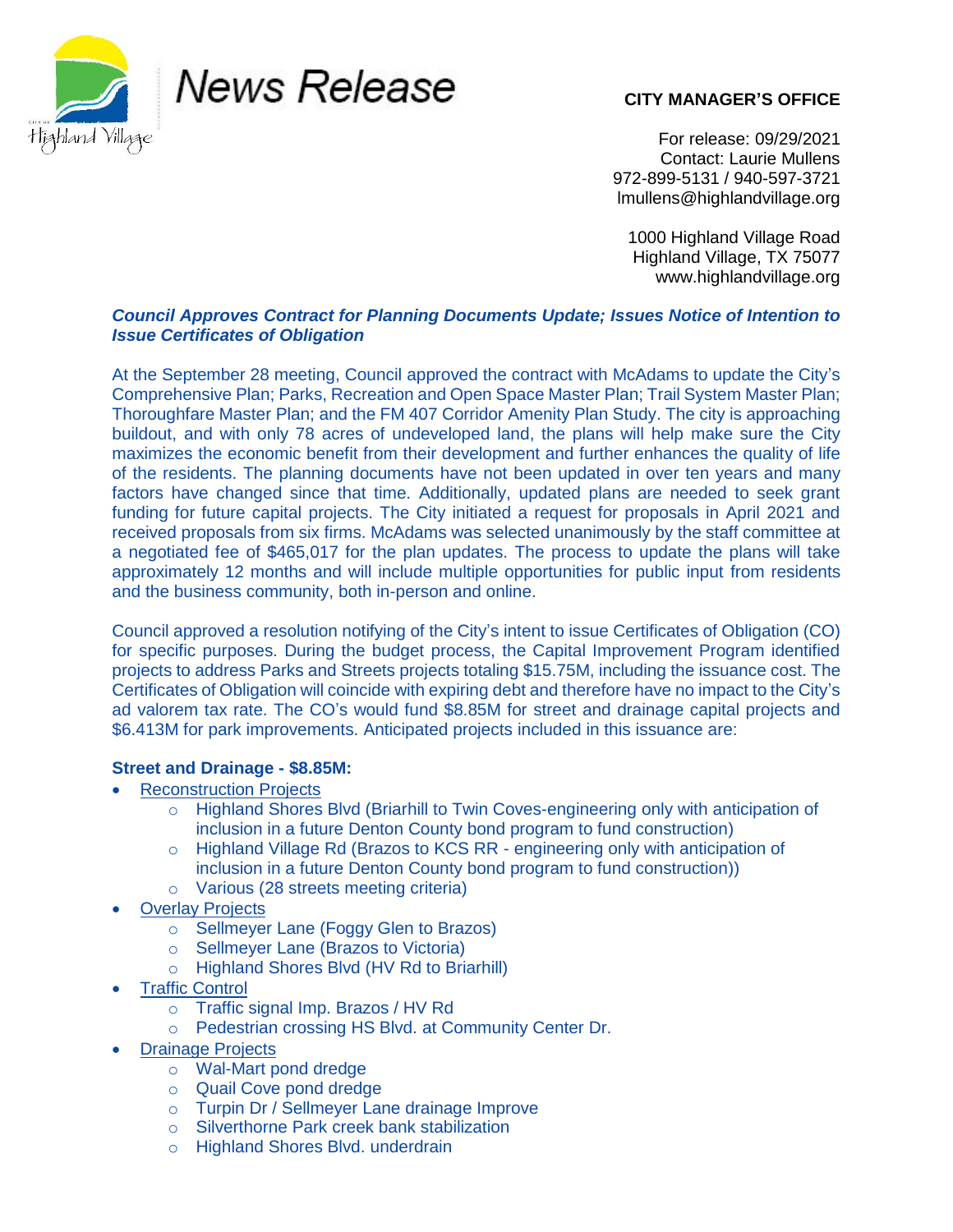

News Release

## **CITY MANAGER'S OFFICE**

For release: 09/29/2021 Contact: Laurie Mullens 972-899-5131 / 940-597-3721 lmullens@highlandvillage.org

1000 Highland Village Road Highland Village, TX 75077 www.highlandvillage.org

## *Council Approves Contract for Planning Documents Update; Issues Notice of Intention to Issue Certificates of Obligation*

At the September 28 meeting, Council approved the contract with McAdams to update the City's Comprehensive Plan; Parks, Recreation and Open Space Master Plan; Trail System Master Plan; Thoroughfare Master Plan; and the FM 407 Corridor Amenity Plan Study. The city is approaching buildout, and with only 78 acres of undeveloped land, the plans will help make sure the City maximizes the economic benefit from their development and further enhances the quality of life of the residents. The planning documents have not been updated in over ten years and many factors have changed since that time. Additionally, updated plans are needed to seek grant funding for future capital projects. The City initiated a request for proposals in April 2021 and received proposals from six firms. McAdams was selected unanimously by the staff committee at a negotiated fee of \$465,017 for the plan updates. The process to update the plans will take approximately 12 months and will include multiple opportunities for public input from residents and the business community, both in-person and online.

Council approved a resolution notifying of the City's intent to issue Certificates of Obligation (CO) for specific purposes. During the budget process, the Capital Improvement Program identified projects to address Parks and Streets projects totaling \$15.75M, including the issuance cost. The Certificates of Obligation will coincide with expiring debt and therefore have no impact to the City's ad valorem tax rate. The CO's would fund \$8.85M for street and drainage capital projects and \$6.413M for park improvements. Anticipated projects included in this issuance are:

## **Street and Drainage - \$8.85M:**

- Reconstruction Projects
	- o Highland Shores Blvd (Briarhill to Twin Coves-engineering only with anticipation of inclusion in a future Denton County bond program to fund construction)
	- o Highland Village Rd (Brazos to KCS RR engineering only with anticipation of inclusion in a future Denton County bond program to fund construction))
	- o Various (28 streets meeting criteria)
- **Overlay Projects** 
	- o Sellmeyer Lane (Foggy Glen to Brazos)
	- o Sellmeyer Lane (Brazos to Victoria)
	- o Highland Shores Blvd (HV Rd to Briarhill)
- Traffic Control
	- o Traffic signal Imp. Brazos / HV Rd
	- o Pedestrian crossing HS Blvd. at Community Center Dr.
- Drainage Projects
	- o Wal-Mart pond dredge
	- o Quail Cove pond dredge
	- o Turpin Dr / Sellmeyer Lane drainage Improve
	- o Silverthorne Park creek bank stabilization
	- o Highland Shores Blvd. underdrain